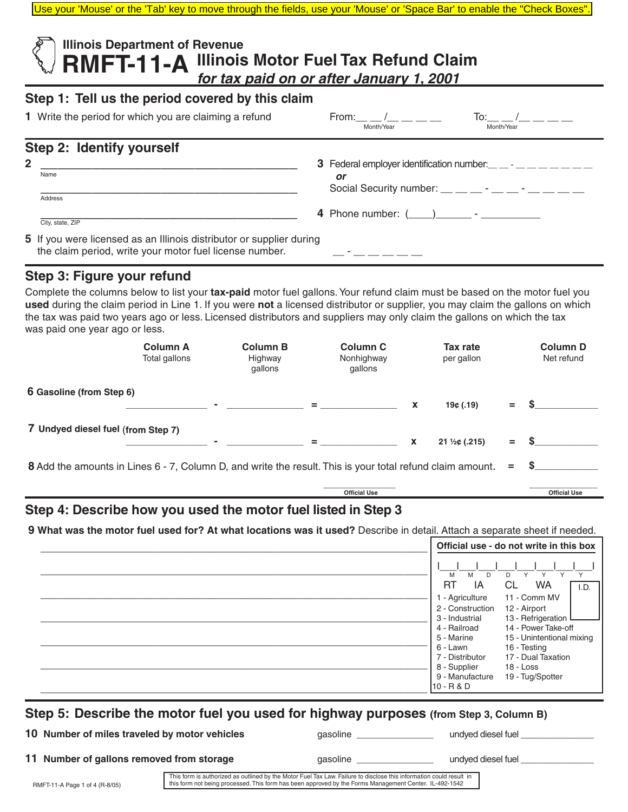Use your 'Mouse' or the 'Tab' key to move through the fields, use your 'Mouse' or 'Space Bar' to enable the "Check Boxes".

| <b>Illinois Department of Revenue</b><br>RMFT-11-A Illinois Motor Fuel Tax Refund Claim<br>for tax paid on or after January 1, 2001 |                                                                                                                                                                                                                              |  |  |  |  |  |  |
|-------------------------------------------------------------------------------------------------------------------------------------|------------------------------------------------------------------------------------------------------------------------------------------------------------------------------------------------------------------------------|--|--|--|--|--|--|
| Step 1: Tell us the period covered by this claim                                                                                    |                                                                                                                                                                                                                              |  |  |  |  |  |  |
| 1 Write the period for which you are claiming a refund                                                                              | From: /<br>Month/Year<br>Month/Year                                                                                                                                                                                          |  |  |  |  |  |  |
| Step 2: Identify yourself                                                                                                           |                                                                                                                                                                                                                              |  |  |  |  |  |  |
| $\mathbf{2}$<br>Name<br>Address                                                                                                     | 3 Federal employer identification number: $\frac{1}{2}$ $\frac{1}{2}$ $\frac{1}{2}$ $\frac{1}{2}$ $\frac{1}{2}$ $\frac{1}{2}$ $\frac{1}{2}$<br>or<br>Social Security number: $\_\_$ $\_\_$ - $\_\_$ - $\_\_$ - $\_\_$ $\_\_$ |  |  |  |  |  |  |
| City, state, ZIP                                                                                                                    | 4 Phone number: ( ) -                                                                                                                                                                                                        |  |  |  |  |  |  |
| 5 If you were licensed as an Illinois distributor or supplier during<br>the claim period, write your motor fuel license number.     |                                                                                                                                                                                                                              |  |  |  |  |  |  |

### **Step 3: Figure your refund**

Complete the columns below to list your **tax-paid** motor fuel gallons. Your refund claim must be based on the motor fuel you **used** during the claim period in Line 1. If you were **not** a licensed distributor or supplier, you may claim the gallons on which the tax was paid two years ago or less. Licensed distributors and suppliers may only claim the gallons on which the tax was paid one year ago or less.

|                                                                                                           | <b>Column A</b><br>Total gallons | <b>Column B</b><br>Highway<br>gallons | <b>Column C</b><br>Nonhighway<br>gallons |                           | Tax rate<br>per gallon |     | <b>Column D</b><br>Net refund |
|-----------------------------------------------------------------------------------------------------------|----------------------------------|---------------------------------------|------------------------------------------|---------------------------|------------------------|-----|-------------------------------|
| 6 Gasoline (from Step 6)                                                                                  |                                  |                                       | $=$                                      | X                         | 19¢(0.19)              | $=$ | -S                            |
| 7 Undyed diesel fuel (from Step 7)                                                                        |                                  |                                       | $=$                                      | $\boldsymbol{\mathsf{x}}$ | $21\frac{1}{2}$ (.215) | $=$ |                               |
| 8 Add the amounts in Lines 6 - 7, Column D, and write the result. This is your total refund claim amount. | $=$                              | -S                                    |                                          |                           |                        |     |                               |
|                                                                                                           |                                  |                                       | <b>Official Use</b>                      |                           |                        |     | <b>Official Use</b>           |

## **Step 4: Describe how you used the motor fuel listed in Step 3**

 **9 What was the motor fuel used for? At what locations was it used?** Describe in detail. Attach a separate sheet if needed.

| M<br>D<br>Y<br>$\vee$<br>M<br>D<br>Y<br>Y<br><b>RT</b><br>IA<br><b>WA</b><br>CL<br>11 - Comm MV<br>1 - Agriculture<br>2 - Construction<br>12 - Airport | Official use - do not write in this box |                           |  |
|--------------------------------------------------------------------------------------------------------------------------------------------------------|-----------------------------------------|---------------------------|--|
|                                                                                                                                                        |                                         |                           |  |
|                                                                                                                                                        |                                         | I.D.                      |  |
|                                                                                                                                                        |                                         |                           |  |
|                                                                                                                                                        |                                         |                           |  |
| 13 - Refrigeration<br>3 - Industrial                                                                                                                   |                                         |                           |  |
| 14 - Power Take-off<br>4 - Railroad                                                                                                                    |                                         |                           |  |
| 5 - Marine                                                                                                                                             |                                         | 15 - Unintentional mixing |  |
| 16 - Testing<br>6 - Lawn                                                                                                                               |                                         |                           |  |
| 17 - Dual Taxation<br>7 - Distributor                                                                                                                  |                                         |                           |  |
| 8 - Supplier<br>$18 - Loss$                                                                                                                            |                                         |                           |  |
| 19 - Tug/Spotter<br>9 - Manufacture                                                                                                                    |                                         |                           |  |
| $10 - R & D$                                                                                                                                           |                                         |                           |  |

# **Step 5: Describe the motor fuel you used for highway purposes (from Step 3, Column B)**

**10 Number of miles traveled by motor vehicles** gasoline gasoline and the undyed diesel fuel and the set of the set of the set of the set of the set of the set of the set of the set of the set of the set of the set of the

**11 Number of gallons removed from storage** gasoline \_\_\_\_\_\_\_\_\_\_\_\_\_\_\_ undyed diesel fuel

This form is authorized as outlined by the Motor Fuel Tax Law. Failure to disclose this information could result in this form not being processed. This form has been approved by the Forms Management Center. IL-492-1542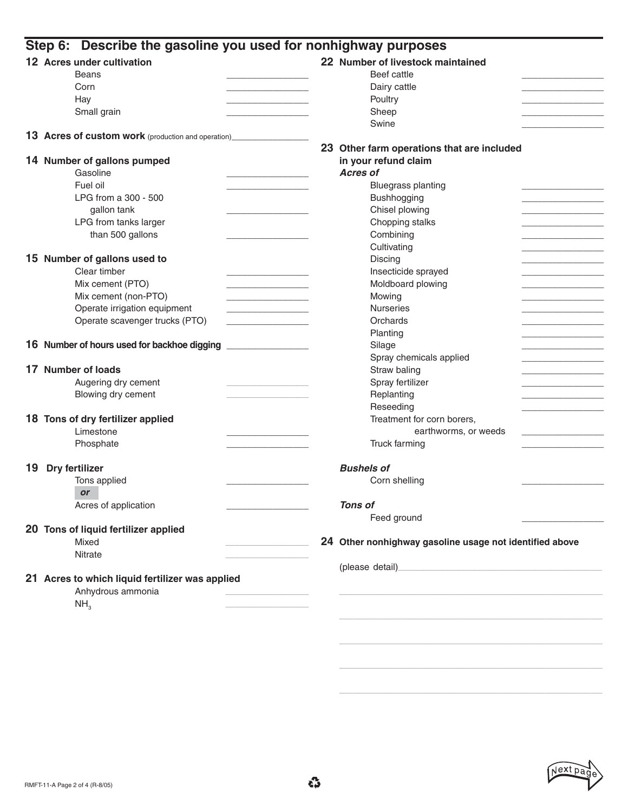|    | 12 Acres under cultivation                                  | 22 Number of livestock maintained                                                                                                                                                                                                |  |  |  |  |
|----|-------------------------------------------------------------|----------------------------------------------------------------------------------------------------------------------------------------------------------------------------------------------------------------------------------|--|--|--|--|
|    | <b>Beans</b>                                                | Beef cattle                                                                                                                                                                                                                      |  |  |  |  |
|    | Corn                                                        | Dairy cattle                                                                                                                                                                                                                     |  |  |  |  |
|    | Hay                                                         | Poultry                                                                                                                                                                                                                          |  |  |  |  |
|    | Small grain                                                 | Sheep                                                                                                                                                                                                                            |  |  |  |  |
|    |                                                             | Swine                                                                                                                                                                                                                            |  |  |  |  |
|    | 13 Acres of custom work (production and operation)_________ |                                                                                                                                                                                                                                  |  |  |  |  |
|    |                                                             | 23 Other farm operations that are included                                                                                                                                                                                       |  |  |  |  |
|    | 14 Number of gallons pumped                                 | in your refund claim<br><b>Acres of</b>                                                                                                                                                                                          |  |  |  |  |
|    | Gasoline                                                    |                                                                                                                                                                                                                                  |  |  |  |  |
|    | Fuel oil                                                    | <b>Bluegrass planting</b>                                                                                                                                                                                                        |  |  |  |  |
|    | LPG from a 300 - 500                                        | Bushhogging                                                                                                                                                                                                                      |  |  |  |  |
|    | gallon tank                                                 | Chisel plowing                                                                                                                                                                                                                   |  |  |  |  |
|    | LPG from tanks larger                                       | Chopping stalks                                                                                                                                                                                                                  |  |  |  |  |
|    | than 500 gallons                                            | Combining                                                                                                                                                                                                                        |  |  |  |  |
|    |                                                             | Cultivating                                                                                                                                                                                                                      |  |  |  |  |
|    | 15 Number of gallons used to                                | Discing                                                                                                                                                                                                                          |  |  |  |  |
|    | Clear timber                                                | Insecticide sprayed                                                                                                                                                                                                              |  |  |  |  |
|    | Mix cement (PTO)                                            | Moldboard plowing                                                                                                                                                                                                                |  |  |  |  |
|    | Mix cement (non-PTO)                                        | Mowing                                                                                                                                                                                                                           |  |  |  |  |
|    | Operate irrigation equipment                                | <b>Nurseries</b>                                                                                                                                                                                                                 |  |  |  |  |
|    | Operate scavenger trucks (PTO)                              | Orchards                                                                                                                                                                                                                         |  |  |  |  |
|    |                                                             | Planting                                                                                                                                                                                                                         |  |  |  |  |
|    | 16 Number of hours used for backhoe digging                 | Silage                                                                                                                                                                                                                           |  |  |  |  |
|    |                                                             | Spray chemicals applied                                                                                                                                                                                                          |  |  |  |  |
|    | 17 Number of loads                                          | Straw baling                                                                                                                                                                                                                     |  |  |  |  |
|    | Augering dry cement                                         | Spray fertilizer                                                                                                                                                                                                                 |  |  |  |  |
|    | Blowing dry cement                                          | Replanting                                                                                                                                                                                                                       |  |  |  |  |
|    |                                                             | Reseeding                                                                                                                                                                                                                        |  |  |  |  |
|    | 18 Tons of dry fertilizer applied                           | Treatment for corn borers,                                                                                                                                                                                                       |  |  |  |  |
|    | Limestone                                                   | earthworms, or weeds                                                                                                                                                                                                             |  |  |  |  |
|    | Phosphate                                                   | Truck farming                                                                                                                                                                                                                    |  |  |  |  |
| 19 | Dry fertilizer                                              | <b>Bushels of</b>                                                                                                                                                                                                                |  |  |  |  |
|    | Tons applied                                                | Corn shelling                                                                                                                                                                                                                    |  |  |  |  |
|    | <b>or</b>                                                   |                                                                                                                                                                                                                                  |  |  |  |  |
|    | Acres of application                                        | <b>Tons of</b>                                                                                                                                                                                                                   |  |  |  |  |
|    |                                                             | Feed ground                                                                                                                                                                                                                      |  |  |  |  |
|    | 20 Tons of liquid fertilizer applied                        |                                                                                                                                                                                                                                  |  |  |  |  |
|    | Mixed                                                       | 24 Other nonhighway gasoline usage not identified above                                                                                                                                                                          |  |  |  |  |
|    | <b>Nitrate</b>                                              |                                                                                                                                                                                                                                  |  |  |  |  |
|    |                                                             | (please detail)<br>expression of the contract of the contract of the contract of the contract of the contract of the contract of the contract of the contract of the contract of the contract of the contract of the contract of |  |  |  |  |
|    | 21 Acres to which liquid fertilizer was applied             |                                                                                                                                                                                                                                  |  |  |  |  |
|    | Anhydrous ammonia                                           |                                                                                                                                                                                                                                  |  |  |  |  |
|    |                                                             |                                                                                                                                                                                                                                  |  |  |  |  |
|    | NH <sub>3</sub>                                             |                                                                                                                                                                                                                                  |  |  |  |  |



\_\_\_\_\_\_\_\_\_\_\_\_\_\_\_\_\_\_\_\_\_\_\_\_\_\_\_\_\_\_\_\_\_\_\_\_\_\_\_\_\_\_\_\_\_\_\_\_\_\_\_\_\_\_\_\_\_\_\_\_\_\_\_\_\_\_\_\_\_\_\_\_\_\_\_\_\_\_\_\_\_\_\_\_\_\_\_\_\_\_\_\_\_\_\_\_\_\_\_\_\_\_\_\_\_\_\_\_\_\_\_\_\_\_

\_\_\_\_\_\_\_\_\_\_\_\_\_\_\_\_\_\_\_\_\_\_\_\_\_\_\_\_\_\_\_\_\_\_\_\_\_\_\_\_\_\_\_\_\_\_\_\_\_\_\_\_\_\_\_\_\_\_\_\_\_\_\_\_\_\_\_\_\_\_\_\_\_\_\_\_\_\_\_\_\_\_\_\_\_\_\_\_\_\_\_\_\_\_\_\_\_\_\_\_\_\_\_\_\_\_\_\_\_\_\_\_\_\_

\_\_\_\_\_\_\_\_\_\_\_\_\_\_\_\_\_\_\_\_\_\_\_\_\_\_\_\_\_\_\_\_\_\_\_\_\_\_\_\_\_\_\_\_\_\_\_\_\_\_\_\_\_\_\_\_\_\_\_\_\_\_\_\_\_\_\_\_\_\_\_\_\_\_\_\_\_\_\_\_\_\_\_\_\_\_\_\_\_\_\_\_\_\_\_\_\_\_\_\_\_\_\_\_\_\_\_\_\_\_\_\_\_\_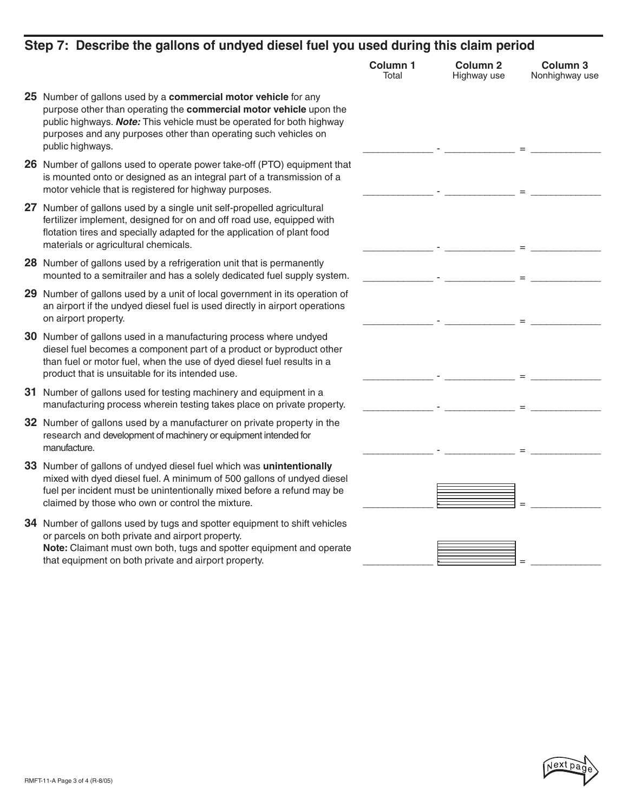| Step 7: Describe the gallons of undyed diesel fuel you used during this claim period                                                                                                                                                                                                                  |                          |                                |                                       |
|-------------------------------------------------------------------------------------------------------------------------------------------------------------------------------------------------------------------------------------------------------------------------------------------------------|--------------------------|--------------------------------|---------------------------------------|
|                                                                                                                                                                                                                                                                                                       | <b>Column 1</b><br>Total | <b>Column 2</b><br>Highway use | Column <sub>3</sub><br>Nonhighway use |
| 25 Number of gallons used by a commercial motor vehicle for any<br>purpose other than operating the commercial motor vehicle upon the<br>public highways. Note: This vehicle must be operated for both highway<br>purposes and any purposes other than operating such vehicles on<br>public highways. |                          |                                |                                       |
| 26 Number of gallons used to operate power take-off (PTO) equipment that<br>is mounted onto or designed as an integral part of a transmission of a<br>motor vehicle that is registered for highway purposes.                                                                                          |                          |                                |                                       |
| 27 Number of gallons used by a single unit self-propelled agricultural<br>fertilizer implement, designed for on and off road use, equipped with<br>flotation tires and specially adapted for the application of plant food<br>materials or agricultural chemicals.                                    |                          |                                |                                       |
| 28 Number of gallons used by a refrigeration unit that is permanently<br>mounted to a semitrailer and has a solely dedicated fuel supply system.                                                                                                                                                      |                          |                                |                                       |
| 29 Number of gallons used by a unit of local government in its operation of<br>an airport if the undyed diesel fuel is used directly in airport operations<br>on airport property.                                                                                                                    |                          |                                |                                       |
| 30 Number of gallons used in a manufacturing process where undyed<br>diesel fuel becomes a component part of a product or byproduct other<br>than fuel or motor fuel, when the use of dyed diesel fuel results in a<br>product that is unsuitable for its intended use.                               |                          |                                |                                       |
| 31 Number of gallons used for testing machinery and equipment in a<br>manufacturing process wherein testing takes place on private property.                                                                                                                                                          |                          |                                |                                       |
| 32 Number of gallons used by a manufacturer on private property in the<br>research and development of machinery or equipment intended for<br>manufacture.                                                                                                                                             |                          |                                |                                       |
| 33 Number of gallons of undyed diesel fuel which was unintentionally<br>mixed with dyed diesel fuel. A minimum of 500 gallons of undyed diesel<br>fuel per incident must be unintentionally mixed before a refund may be<br>claimed by those who own or control the mixture.                          |                          |                                |                                       |
| 34 Number of gallons used by tugs and spotter equipment to shift vehicles<br>or parcels on both private and airport property.<br>Note: Claimant must own both, tugs and spotter equipment and operate<br>that equipment on both private and airport property.                                         |                          |                                |                                       |